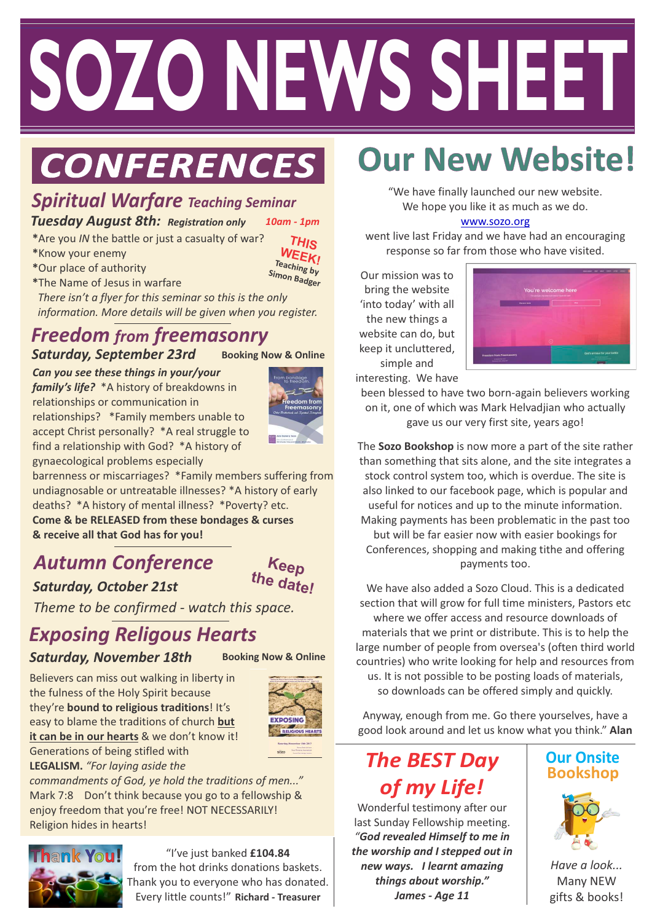# **Healing Issues of Life 2 ALL Do join us! WELCOME SOZO NEWS SHEET**

# $CONFERENCES$

## *Spiritual Warfare Teaching Seminar*

#### *Tuesday August 8th: Registration only 10am - 1pm*

- **\***Are you *IN* the battle or just a casualty of war?
- **\***Know your enemy
- **\***Our place of authority

**Teaching by Simon Badger THIS WEEK!**

**\***The Name of Jesus in warfare  *There isn't a flyer for this seminar so this is the only information. More details will be given when you register.* 

#### *Freedom from freemasonry* **Booking Now & Online** *Saturday, September 23rd*

*Can you see these things in your/your* 

*family's life?* \*A history of breakdowns in relationships or communication in relationships? \*Family members unable to accept Christ personally? \*A real struggle to find a relationship with God? \*A history of gynaecological problems especially



barrenness or miscarriages? \*Family members suffering from undiagnosable or untreatable illnesses? \*A history of early deaths? \*A history of mental illness? \*Poverty? etc. **Come & be RELEASED from these bondages & curses & receive all that God has for you!** 

### *Autumn Conference Saturday, October 21st*



*Theme to be confirmed - watch this space.*

# *Exposing Religous Hearts*

#### **Saturday, November 18th** Booking Now & Online

Believers can miss out walking in liberty in the fulness of the Holy Spirit because they're **bound to religious traditions**! It's easy to blame the traditions of church **but it can be in our hearts** & we don't know it! Generations of being stifled with **LEGALISM.** *"For laying aside the* 



*commandments of God, ye hold the traditions of men..."*  Mark 7:8 Don't think because you go to a fellowship & enjoy freedom that you're free! NOT NECESSARILY! Religion hides in hearts!



"I've just banked **£104.84** from the hot drinks donations baskets. Thank you to everyone who has donated. Every little counts!" **Richard - Treasurer**

# **Our New Website!**

"We have finally launched our new website. We hope you like it as much as we do.

#### [www.sozo.org](http://www.sozo.org)

went live last Friday and we have had an encouraging response so far from those who have visited.

**8.45 am Friday' with all** Our mission was to bring the website the new things a website can do, but keep it uncluttered, simple and interesting. We have



been blessed to have two born-again believers working on it, one of which was Mark Helvadjian who actually

gave us our very first site, years ago!

The **Sozo Bookshop** is now more a part of the site rather than something that sits alone, and the site integrates a stock control system too, which is overdue. The site is also linked to our facebook page, which is popular and useful for notices and up to the minute information. Making payments has been problematic in the past too but will be far easier now with easier bookings for Conferences, shopping and making tithe and offering payments too.

We have also added a Sozo Cloud. This is a dedicated section that will grow for full time ministers, Pastors etc where we offer access and resource downloads of materials that we print or distribute. This is to help the large number of people from oversea's (often third world countries) who write looking for help and resources from us. It is not possible to be posting loads of materials,

so downloads can be offered simply and quickly.

Anyway, enough from me. Go there yourselves, have a good look around and let us know what you think." **Alan**

## **The BEST Day** *of my Life!*

Wonderful testimony after our last Sunday Fellowship meeting. *"God revealed Himself to me in the worship and I stepped out in new ways. I learnt amazing things about worship." James - Age 11*

# **Our Onsite**



*Have a look...* Many NEW gifts & books!